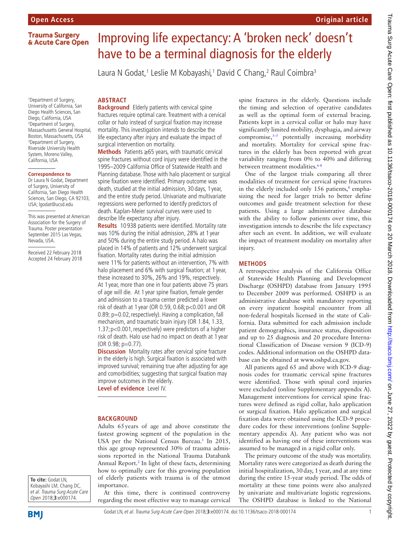**Trauma Surgery** & Acute Care Open

1 Department of Surgery, University of California, San Diego Health Sciences, San Diego, California, USA 2 Department of Surgery, Massachusetts General Hospital, Boston, Massachusetts, USA 3 Department of Surgery, Riverside University Health System, Moreno Valley, California, USA

#### **Correspondence to**

Dr Laura N Godat, Department of Surgery, University of California, San Diego Health Sciences, San Diego, CA 92103, USA; lgodat@ucsd.edu

This was presented at American Association for the Surgery of Trauma. Poster presentation September 2015 Las Vegas, Nevada, USA.

Received 22 February 2018 Accepted 24 February 2018

# Improving life expectancy: A 'broken neck' doesn't have to be a terminal diagnosis for the elderly

Laura N Godat,<sup>1</sup> Leslie M Kobayashi,<sup>1</sup> David C Chang,<sup>2</sup> Raul Coimbra<sup>3</sup>

#### **Abstract**

**Background** Elderly patients with cervical spine fractures require optimal care. Treatment with a cervical collar or halo instead of surgical fixation may increase mortality. This investigation intends to describe the life expectancy after injury and evaluate the impact of surgical intervention on mortality.

**Methods** Patients ≥65 years, with traumatic cervical spine fractures without cord injury were identified in the 1995–2009 California Office of Statewide Health and Planning database. Those with halo placement or surgical spine fixation were identified. Primary outcome was death, studied at the initial admission, 30 days, 1 year, and the entire study period. Univariate and multivariate regressions were performed to identify predictors of death. Kaplan-Meier survival curves were used to describe life expectancy after injury.

**Results** 10 938 patients were identified. Mortality rate was 10% during the initial admission, 28% at 1 year and 50% during the entire study period. A halo was placed in 14% of patients and 12% underwent surgical fixation. Mortality rates during the initial admission were 11% for patients without an intervention, 7% with halo placement and 6% with surgical fixation; at 1 year, these increased to 30%, 26% and 19%, respectively. At 1 year, more than one in four patients above 75 years of age will die. At 1 year spine fixation, female gender and admission to a trauma center predicted a lower risk of death at 1 year (OR 0.59, 0.68;p<0.001 and OR 0.89; p=0.02, respectively). Having a complication, fall mechanism, and traumatic brain injury (OR 1.84, 1.33, 1.37;p<0.001,respectively) were predictors of a higher risk of death. Halo use had no impact on death at 1 year (OR 0.98; p=0.77).

**Discussion** Mortality rates after cervical spine fracture in the elderly is high. Surgical fixation is associated with improved survival; remaining true after adjusting for age and comorbidities; suggesting that surgical fixation may improve outcomes in the elderly.

**Level of evidence** Level IV.

#### **BACKGROUND**

Adults 65years of age and above constitute the fastest growing segment of the population in the USA per the National Census Bureau.<sup>1</sup> In 2015, this age group represented 30% of trauma admissions reported in the National Trauma Databank Annual Report[.2](#page-4-0) In light of these facts, determining how to optimally care for this growing population of elderly patients with trauma is of the utmost importance.

At this time, there is continued controversy regarding the most effective way to manage cervical spine fractures in the elderly. Questions include the timing and selection of operative candidates as well as the optimal form of external bracing. Patients kept in a cervical collar or halo may have significantly limited mobility, dysphagia, and airway compromise, $3-5$  potentially increasing morbidity and mortality. Mortality for cervical spine fractures in the elderly has been reported with great variability ranging from 0% to 40% and differing between treatment modalities.<sup>6-8</sup>

**Original article**

One of the largest trials comparing all three modalities of treatment for cervical spine fractures in the elderly included only  $156$  patients,<sup>8</sup> emphasizing the need for larger trials to better define outcomes and guide treatment selection for these patients. Using a large administrative database with the ability to follow patients over time, this investigation intends to describe the life expectancy after such an event. In addition, we will evaluate the impact of treatment modality on mortality after injury.

#### **Methods**

A retrospective analysis of the California Office of Statewide Health Planning and Development Discharge (OSHPD) database from January 1995 to December 2009 was performed. OSHPD is an administrative database with mandatory reporting on every inpatient hospital encounter from all non-federal hospitals licensed in the state of California. Data submitted for each admission include patient demographics, insurance status, disposition and up to 25 diagnosis and 20 procedure International Classification of Disease version 9 (ICD-9) codes. Additional information on the OSHPD database can be obtained at <www.oshpd.ca.gov.>

All patients aged 65 and above with ICD-9 diagnosis codes for traumatic cervical spine fractures were identified. Those with spinal cord injuries were excluded (online [Supplementary appendix A\)](https://dx.doi.org/10.1136/tsaco-2018-000174). Management interventions for cervical spine fractures were defined as rigid collar, halo application or surgical fixation. Halo application and surgical fixation data were obtained using the ICD-9 procedure codes for these interventions (online [Supple](https://dx.doi.org/10.1136/tsaco-2018-000174)[mentary appendix A](https://dx.doi.org/10.1136/tsaco-2018-000174)). Any patient who was not identified as having one of these interventions was assumed to be managed in a rigid collar only.

The primary outcome of the study was mortality. Mortality rates were categorized as death during the initial hospitalization, 30day, 1year, and at any time during the entire 15-year study period. The odds of mortality at these time points were also analyzed by univariate and multivariate logistic regressions. The OSHPD database is linked to the National

**To cite:** Godat LN, Kobayashi LM, Chang DC, et al. Trauma Surg Acute Care Open 2018;**3**:e000174.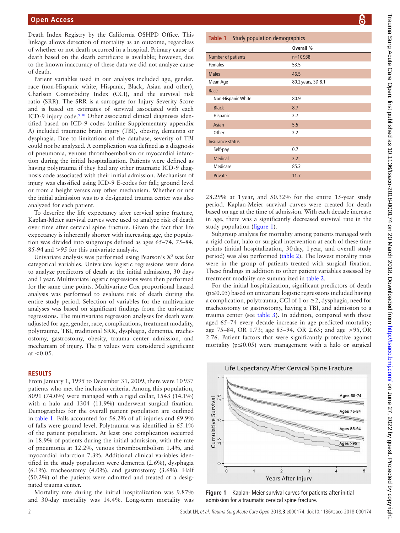Death Index Registry by the California OSHPD Office. This linkage allows detection of mortality as an outcome, regardless of whether or not death occurred in a hospital. Primary cause of death based on the death certificate is available; however, due to the known inaccuracy of these data we did not analyze cause of death.

Patient variables used in our analysis included age, gender, race (non-Hispanic white, Hispanic, Black, Asian and other), Charlson Comorbidity Index (CCI), and the survival risk ratio (SRR). The SRR is a surrogate for Injury Severity Score and is based on estimates of survival associated with each ICD-9 injury code.<sup>9 10</sup> Other associated clinical diagnoses identified based on ICD-9 codes (online [Supplementary appendix](https://dx.doi.org/10.1136/tsaco-2018-000174)  [A](https://dx.doi.org/10.1136/tsaco-2018-000174)) included traumatic brain injury (TBI), obesity, dementia or dysphagia. Due to limitations of the database, severity of TBI could not be analyzed. A complication was defined as a diagnosis of pneumonia, venous thromboembolism or myocardial infarction during the initial hospitalization. Patients were defined as having polytrauma if they had any other traumatic ICD-9 diagnosis code associated with their initial admission. Mechanism of injury was classified using ICD-9 E-codes for fall; ground level or from a height versus any other mechanism. Whether or not the initial admission was to a designated trauma center was also analyzed for each patient.

To describe the life expectancy after cervical spine fracture, Kaplan-Meier survival curves were used to analyze risk of death over time after cervical spine fracture. Given the fact that life expectancy is inherently shorter with increasing age, the population was divided into subgroups defined as ages 65–74, 75–84, 85-94and >95 for this univariate analysis.

Univariate analysis was performed using Pearson's  $X^2$  test for categorical variables. Univariate logistic regressions were done to analyze predictors of death at the initial admission, 30 days and 1year. Multivariate logistic regressions were then performed for the same time points. Multivariate Cox proportional hazard analysis was performed to evaluate risk of death during the entire study period. Selection of variables for the multivariate analyses was based on significant findings from the univariate regressions. The multivariate regression analyses for death were adjusted for age, gender, race, complications, treatment modality, polytrauma, TBI, traditional SRR, dysphagia, dementia, tracheostomy, gastrostomy, obesity, trauma center admission, and mechanism of injury. The p values were considered significant at  $< 0.05$ .

### **Results**

From January 1, 1995 to December 31, 2009, there were 10937 patients who met the inclusion criteria. Among this population, 8091 (74.0%) were managed with a rigid collar, 1543 (14.1%) with a halo and 1304 (11.9%) underwent surgical fixation. Demographics for the overall patient population are outlined in [table](#page-1-0) 1. Falls accounted for 56.2% of all injuries and 69.9% of falls were ground level. Polytrauma was identified in 65.1% of the patient population. At least one complication occurred in 18.9% of patients during the initial admission, with the rate of pneumonia at 12.2%, venous thromboembolism 1.4%, and myocardial infarction 7.3%. Additional clinical variables identified in the study population were dementia (2.6%), dysphagia  $(6.1\%)$ , tracheostomy  $(4.0\%)$ , and gastrostomy  $(3.6\%)$ . Half (50.2%) of the patients were admitted and treated at a designated trauma center.

Mortality rate during the initial hospitalization was 9.87% and 30-day mortality was 14.4%. Long-term mortality was

<span id="page-1-0"></span>

| <b>Table 1</b> Study population demographics |                    |  |  |  |  |
|----------------------------------------------|--------------------|--|--|--|--|
|                                              | Overall %          |  |  |  |  |
| Number of patients                           | $n=10938$          |  |  |  |  |
| <b>Females</b>                               | 53.5               |  |  |  |  |
| <b>Males</b>                                 | 46.5               |  |  |  |  |
| Mean Age                                     | 80.2 years, SD 8.1 |  |  |  |  |
| Race                                         |                    |  |  |  |  |
| Non-Hispanic White                           | 80.9               |  |  |  |  |
| <b>Black</b>                                 | 8.7                |  |  |  |  |
| Hispanic                                     | 2.7                |  |  |  |  |
| Asian                                        | 5.5                |  |  |  |  |
| Other                                        | 2.2                |  |  |  |  |
| Insurance status                             |                    |  |  |  |  |
| Self-pay                                     | 0.7                |  |  |  |  |
| <b>Medical</b>                               | 2.2                |  |  |  |  |
| Medicare                                     | 85.3               |  |  |  |  |
| Private                                      | 11.7               |  |  |  |  |

28.29% at 1year, and 50.32% for the entire 15-year study period. Kaplan-Meier survival curves were created for death based on age at the time of admission. With each decade increase in age, there was a significantly decreased survival rate in the study population [\(figure](#page-1-1) 1).

Subgroup analysis for mortality among patients managed with a rigid collar, halo or surgical intervention at each of these time points (initial hospitalization, 30day, 1year, and overall study period) was also performed [\(table](#page-2-0) 2). The lowest morality rates were in the group of patients treated with surgical fixation. These findings in addition to other patient variables assessed by treatment modality are summarized in [table](#page-2-0) 2.

For the initial hospitalization, significant predictors of death (p≤0.05) based on univariate logistic regressions included having a complication, polytrauma, CCI of 1 or  $\geq$ 2, dysphagia, need for tracheostomy or gastrostomy, having a TBI, and admission to a trauma center (see [table](#page-3-0) 3). In addition, compared with those aged 65–74 every decade increase in age predicted mortality; age 75–84, OR 1.73; age 85–94, OR 2.65; and age >95,OR 2.76. Patient factors that were significantly protective against mortality ( $p \le 0.05$ ) were management with a halo or surgical



<span id="page-1-1"></span>**Figure 1** Kaplan- Meier survival curves for patients after initial admission for a traumatic cervical spine fracture.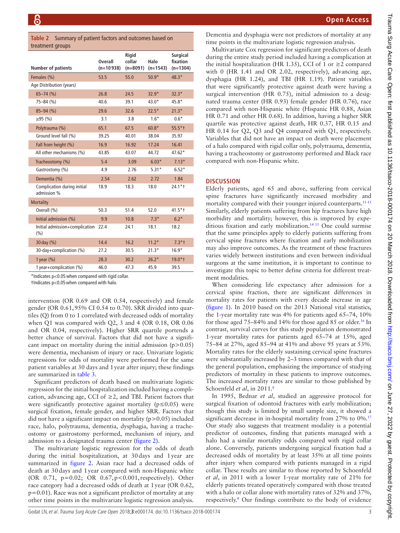<span id="page-2-0"></span>

|                  | Table 2 Summary of patient factors and outcomes based on |
|------------------|----------------------------------------------------------|
| treatment groups |                                                          |

| u cuunchit groups                          |                               |                               |                    |                                           |  |
|--------------------------------------------|-------------------------------|-------------------------------|--------------------|-------------------------------------------|--|
| <b>Number of patients</b>                  | <b>Overall</b><br>$(n=10938)$ | Rigid<br>collar<br>$(n=8091)$ | Halo<br>$(n=1543)$ | <b>Surgical</b><br>fixation<br>$(n=1304)$ |  |
| Females (%)                                | 53.5                          | 55.0                          | $50.9*$            | $48.3*$                                   |  |
| Age Distribution (years)                   |                               |                               |                    |                                           |  |
| $65 - 74$ (%)                              | 26.8                          | 24.5                          | $32.9*$            | $32.3*$                                   |  |
| 75-84 (%)                                  | 40.6                          | 39.1                          | $43.0*$            | 45.8*                                     |  |
| $85 - 94$ (%)                              | 29.6                          | 32.6                          | $22.5*$            | $21.3*$                                   |  |
| $≥95$ (%)                                  | 3.1                           | 3.8                           | $1.6*$             | $0.6*$                                    |  |
| Polytrauma (%)                             | 65.1                          | 67.5                          | $60.8*$            | $55.5*$ †                                 |  |
| Ground level fall (%)                      | 39.25                         | 40.01                         | 38.04              | 35.97                                     |  |
| Fall from height (%)                       | 16.9                          | 16.92                         | 17.24              | 16.41                                     |  |
| All other mechanisms (%)                   | 43.85                         | 43.07                         | 44.72              | $47.62*$                                  |  |
| Tracheostomy (%)                           | 5.4                           | 3.09                          | $6.03*$            | $7.13*$                                   |  |
| Gastrostomy (%)                            | 4.9                           | 2.76                          | $5.31*$            | $6.52*$                                   |  |
| Dementia (%)                               | 2.54                          | 2.62                          | 2.72               | 1.84                                      |  |
| Complication during initial<br>admission % | 18.9                          | 18.3                          | 18.0               | $24.1*$                                   |  |
| <b>Mortality</b>                           |                               |                               |                    |                                           |  |
| Overall (%)                                | 50.3                          | 51.4                          | 52.0               | $41.5*$                                   |  |
| Initial admission (%)                      | 9.9                           | 10.8                          | $7.3*$             | $6.2*$                                    |  |
| Initial admission+complication<br>(%)      | 22.4                          | 24.1                          | 18.1               | 18.2                                      |  |
| 30 day (%)                                 | 14.4                          | 16.2                          | $11.2*$            | $7.3*$ †                                  |  |
| 30-day+complication (%)                    | 27.2                          | 30.5                          | $21.3*$            | $16.9*$                                   |  |
| 1 year $(\%)$                              | 28.3                          | 30.2                          | $26.2*$            | $19.0*$ †                                 |  |
| 1 year+complication (%)                    | 46.0                          | 47.3                          | 45.9               | 39.5                                      |  |
|                                            |                               |                               |                    |                                           |  |

\*Indicates p<0.05when compared with rigid collar.

†Indicates p<0.05when compared with halo.

intervention (OR 0.69 and OR 0.54, respectively) and female gender (OR 0.61,95% CI 0.54 to 0.70). SRR divided into quartiles (Q) from 0 to 1 correlated with decreased odds of mortality when Q1 was compared with Q2, 3 and 4 (OR 0.18, OR 0.06 and OR 0.04, respectively). Higher SRR quartile portends a better chance of survival. Factors that did not have a significant impact on mortality during the initial admission  $(p>0.05)$ were dementia, mechanism of injury or race. Univariate logistic regressions for odds of mortality were performed for the same patient variables at 30 days and 1year after injury; these findings are summarized in [table](#page-3-0) 3.

Significant predictors of death based on multivariate logistic regression for the initial hospitalization included having a complication, advancing age, CCI of  $\geq$ 2, and TBI. Patient factors that were significantly protective against mortality (p≤0.05) were surgical fixation, female gender, and higher SRR. Factors that did not have a significant impact on mortality  $(p>0.05)$  included race, halo, polytrauma, dementia, dysphagia, having a tracheostomy or gastrostomy performed, mechanism of injury, and admission to a designated trauma center [\(figure](#page-4-3) 2).

The multivariate logistic regression for the odds of death during the initial hospitalization, at 30days and 1year are summarized in [figure](#page-4-3) 2. Asian race had a decreased odds of death at 30days and 1year compared with non-Hispanic white (OR 0.71, p=0.02; OR 0.67,p<0.001,respectively). Other race category had a decreased odds of death at 1year (OR 0.62,  $p=0.01$ ). Race was not a significant predictor of mortality at any other time points in the multivariate logistic regression analysis.

Dementia and dysphagia were not predictors of mortality at any time points in the multivariate logistic regression analysis.

Multivariate Cox regression for significant predictors of death during the entire study period included having a complication at the initial hospitalization (HR 1.35), CCI of 1 or  $\geq$ 2 compared with 0 (HR 1.41 and OR 2.02, respectively), advancing age, dysphagia (HR 1.24), and TBI (HR 1.19). Patient variables that were significantly protective against death were having a surgical intervention (HR 0.75), initial admission to a designated trauma center (HR 0.93) female gender (HR 0.76), race compared with non-Hispanic white (Hispanic HR 0.88, Asian HR 0.71 and other HR 0.68). In addition, having a higher SRR quartile was protective against death, HR 0.37, HR 0.15 and HR 0.14 for Q2, Q3 and Q4 compared with Q1, respectively. Variables that did not have an impact on death were placement of a halo compared with rigid collar only, polytrauma, dementia, having a tracheostomy or gastrostomy performed and Black race compared with non-Hispanic white.

#### **Discussion**

Elderly patients, aged 65 and above, suffering from cervical spine fractures have significantly increased morbidity and mortality compared with their younger injured counterparts.[11-13](#page-5-2) Similarly, elderly patients suffering from hip fractures have high morbidity and mortality; however, this is improved by expeditious fixation and early mobilization.<sup>14 15</sup> One could surmise that the same principles apply to elderly patients suffering from cervical spine fractures where fixation and early mobilization may also improve outcomes. As the treatment of these fractures varies widely between institutions and even between individual surgeons at the same institution, it is important to continue to investigate this topic to better define criteria for different treatment modalities.

When considering life expectancy after admission for a cervical spine fraction, there are significant differences in mortality rates for patients with every decade increase in age ([figure](#page-1-1) 1). In 2010 based on the 2013 National vital statistics, the 1-year mortality rate was 4% for patients aged 65–74, 10% for those aged  $75-84\%$  and  $14\%$  for those aged 85 or older.<sup>16</sup> In contrast, survival curves for this study population demonstrated 1-year mortality rates for patients aged 65–74 at 15%, aged 75–84 at 27%, aged 85–94 at 41% and above 95 years at 53%. Mortality rates for the elderly sustaining cervical spine fractures were substantially increased by 2–3 times compared with that of the general population, emphasizing the importance of studying predictors of mortality in these patients to improve outcomes. The increased mortality rates are similar to those published by Schoenfeld *et al*, in 2011.<sup>[8](#page-5-0)</sup>

In 1995, Bednar *et al*, studied an aggressive protocol for surgical fixation of odontoid fractures with early mobilization; though this study is limited by small sample size, it showed a significant decrease in in-hospital mortality from 27% to 0%.<sup>17</sup> Our study also suggests that treatment modality is a potential predictor of outcomes, finding that patients managed with a halo had a similar mortality odds compared with rigid collar alone. Conversely, patients undergoing surgical fixation had a decreased odds of mortality by at least 35% at all time points after injury when compared with patients managed in a rigid collar. These results are similar to those reported by Schoenfeld *et al*, in 2011 with a lower 1-year mortality rate of 21% for elderly patients treated operatively compared with those treated with a halo or collar alone with mortality rates of 32% and 37%, respectively.<sup>8</sup> Our findings contribute to the body of evidence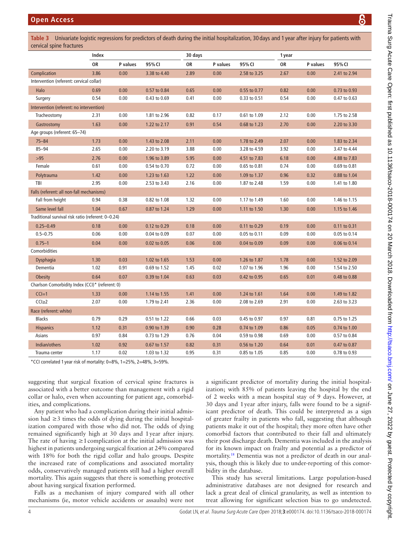<span id="page-3-0"></span>**Table 3** Univariate logistic regressions for predictors of death during the initial hospitalization, 30 days and 1 year after injury for patients with cervical spine fractures

|                                                    | Index     |          |              | 30 days |          |              | 1 year |          |              |
|----------------------------------------------------|-----------|----------|--------------|---------|----------|--------------|--------|----------|--------------|
|                                                    | <b>OR</b> | P values | 95% CI       | OR      | P values | 95% CI       | OR     | P values | 95% CI       |
| Complication                                       | 3.86      | 0.00     | 3.38 to 4.40 | 2.89    | 0.00     | 2.58 to 3.25 | 2.67   | 0.00     | 2.41 to 2.94 |
| Intervention (referent: cervical collar)           |           |          |              |         |          |              |        |          |              |
| Halo                                               | 0.69      | 0.00     | 0.57 to 0.84 | 0.65    | 0.00     | 0.55 to 0.77 | 0.82   | 0.00     | 0.73 to 0.93 |
| Surgery                                            | 0.54      | 0.00     | 0.43 to 0.69 | 0.41    | 0.00     | 0.33 to 0.51 | 0.54   | 0.00     | 0.47 to 0.63 |
| Intervention (referent: no intervention)           |           |          |              |         |          |              |        |          |              |
| Tracheostomy                                       | 2.31      | 0.00     | 1.81 to 2.96 | 0.82    | 0.17     | 0.61 to 1.09 | 2.12   | 0.00     | 1.75 to 2.58 |
| Gastrostomy                                        | 1.63      | 0.00     | 1.22 to 2.17 | 0.91    | 0.54     | 0.68 to 1.23 | 2.70   | 0.00     | 2.20 to 3.30 |
| Age groups (referent: 65-74)                       |           |          |              |         |          |              |        |          |              |
| $75 - 84$                                          | 1.73      | 0.00     | 1.43 to 2.08 | 2.11    | 0.00     | 1.78 to 2.49 | 2.07   | 0.00     | 1.83 to 2.34 |
| $85 - 94$                                          | 2.65      | 0.00     | 2.20 to 3.19 | 3.88    | 0.00     | 3.28 to 4.59 | 3.92   | 0.00     | 3.47 to 4.44 |
| $>95$                                              | 2.76      | 0.00     | 1.96 to 3.89 | 5.95    | 0.00     | 4.51 to 7.83 | 6.18   | 0.00     | 4.88 to 7.83 |
| Female                                             | 0.61      | 0.00     | 0.54 to 0.70 | 0.72    | 0.00     | 0.65 to 0.81 | 0.74   | 0.00     | 0.69 to 0.81 |
| Polytrauma                                         | 1.42      | 0.00     | 1.23 to 1.63 | 1.22    | 0.00     | 1.09 to 1.37 | 0.96   | 0.32     | 0.88 to 1.04 |
| TBI                                                | 2.95      | 0.00     | 2.53 to 3.43 | 2.16    | 0.00     | 1.87 to 2.48 | 1.59   | 0.00     | 1.41 to 1.80 |
| Falls (referent: all non-fall mechanisms)          |           |          |              |         |          |              |        |          |              |
| Fall from height                                   | 0.94      | 0.38     | 0.82 to 1.08 | 1.32    | 0.00     | 1.17 to 1.49 | 1.60   | 0.00     | 1.46 to 1.15 |
| Same level fall                                    | 1.04      | 0.67     | 0.87 to 1.24 | 1.29    | 0.00     | 1.11 to 1.50 | 1.30   | 0.00     | 1.15 to 1.46 |
| Traditional survival risk ratio (referent: 0-0.24) |           |          |              |         |          |              |        |          |              |
| $0.25 - 0.49$                                      | 0.18      | 0.00     | 0.12 to 0.29 | 0.18    | 0.00     | 0.11 to 0.29 | 0.19   | 0.00     | 0.11 to 0.31 |
| $0.5 - 0.75$                                       | 0.06      | 0.00     | 0.04 to 0.09 | 0.07    | 0.00     | 0.05 to 0.11 | 0.09   | 0.00     | 0.05 to 0.14 |
| $0.75 - 1$                                         | 0.04      | 0.00     | 0.02 to 0.05 | 0.06    | 0.00     | 0.04 to 0.09 | 0.09   | 0.00     | 0.06 to 0.14 |
| Comorbidities                                      |           |          |              |         |          |              |        |          |              |
| Dysphagia                                          | 1.30      | 0.03     | 1.02 to 1.65 | 1.53    | 0.00     | 1.26 to 1.87 | 1.78   | 0.00     | 1.52 to 2.09 |
| Dementia                                           | 1.02      | 0.91     | 0.69 to 1.52 | 1.45    | 0.02     | 1.07 to 1.96 | 1.96   | 0.00     | 1.54 to 2.50 |
| <b>Obesity</b>                                     | 0.64      | 0.07     | 0.39 to 1.04 | 0.63    | 0.03     | 0.42 to 0.95 | 0.65   | 0.01     | 0.48 to 0.88 |
| Charlson Comorbidity Index (CCI)* (referent: 0)    |           |          |              |         |          |              |        |          |              |
| $CCI=1$                                            | 1.33      | 0.00     | 1.14 to 1.55 | 1.41    | 0.00     | 1.24 to 1.61 | 1.64   | 0.00     | 1.49 to 1.82 |
| $CCI \geq 2$                                       | 2.07      | 0.00     | 1.79 to 2.41 | 2.36    | 0.00     | 2.08 to 2.69 | 2.91   | 0.00     | 2.63 to 3.23 |
| Race (referent: white)                             |           |          |              |         |          |              |        |          |              |
| <b>Blacks</b>                                      | 0.79      | 0.29     | 0.51 to 1.22 | 0.66    | 0.03     | 0.45 to 0.97 | 0.97   | 0.81     | 0.75 to 1.25 |
| <b>Hispanics</b>                                   | 1.12      | 0.31     | 0.90 to 1.39 | 0.90    | 0.28     | 0.74 to 1.09 | 0.86   | 0.05     | 0.74 to 1.00 |
| Asians                                             | 0.97      | 0.84     | 0.73 to 1.29 | 0.76    | 0.04     | 0.59 to 0.98 | 0.69   | 0.00     | 0.57 to 0.84 |
| Indian/others                                      | 1.02      | 0.92     | 0.67 to 1.57 | 0.82    | 0.31     | 0.56 to 1.20 | 0.64   | 0.01     | 0.47 to 0.87 |
| Trauma center                                      | 1.17      | 0.02     | 1.03 to 1.32 | 0.95    | 0.31     | 0.85 to 1.05 | 0.85   | 0.00     | 0.78 to 0.93 |

\*CCI correlated 1 year risk of mortality: 0=8%, 1=25%, 2=48%, 3=59%.

suggesting that surgical fixation of cervical spine fractures is associated with a better outcome than management with a rigid collar or halo, even when accounting for patient age, comorbidities, and complications.

Any patient who had a complication during their initial admission had ≥3 times the odds of dying during the initial hospitalization compared with those who did not. The odds of dying remained significantly high at 30 days and 1year after injury. The rate of having  $\geq 1$  complication at the initial admission was highest in patients undergoing surgical fixation at 24% compared with 18% for both the rigid collar and halo groups. Despite the increased rate of complications and associated mortality odds, conservatively managed patients still had a higher overall mortality. This again suggests that there is something protective about having surgical fixation performed.

Falls as a mechanism of injury compared with all other mechanisms (ie, motor vehicle accidents or assaults) were not a significant predictor of mortality during the initial hospitalization; with 85% of patients leaving the hospital by the end of 2 weeks with a mean hospital stay of 9 days. However, at 30 days and 1year after injury, falls were found to be a significant predictor of death. This could be interpreted as a sign of greater frailty in patients who fall, suggesting that although patients make it out of the hospital; they more often have other comorbid factors that contributed to their fall and ultimately their post discharge death. Dementia was included in the analysis for its known impact on frailty and potential as a predictor of mortality.[18](#page-5-6) Dementia was not a predictor of death in our analysis, though this is likely due to under-reporting of this comorbidity in the database.

This study has several limitations. Large population-based administrative databases are not designed for research and lack a great deal of clinical granularity, as well as intention to treat allowing for significant selection bias to go undetected.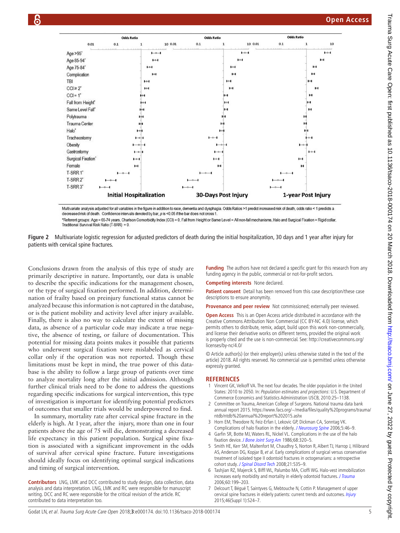

Multivariate analysis adjusted for all variables in the figure in addition to race, dementia and dysphagia. Odds Ratios >1 predict increased risk of death, odds ratio < 1 predicts a decreased risk of death. Confidence intervals denoted by bar, p is <0.05 if the bar does not cross 1

<span id="page-4-3"></span>\*Referent groups: Age = 65-74 years, Charlson Comorbidity Index (CCI) = 0, Fall from Height or Same Level = All non-fall mechanisms, Halo and Surgical Fixation = Rigid collar Traditional Survival Risk Ratio (T-SRR) = 0.



Conclusions drawn from the analysis of this type of study are primarily descriptive in nature. Importantly, our data is unable to describe the specific indications for the management chosen, or the type of surgical fixation performed. In addition, determination of frailty based on preinjury functional status cannot be analyzed because this information is not captured in the database, or is the patient mobility and activity level after injury available. Finally, there is also no way to calculate the extent of missing data, as absence of a particular code may indicate a true negative, the absence of testing, or failure of documentation. This potential for missing data points makes it possible that patients who underwent surgical fixation were mislabeled as cervical collar only if the operation was not reported. Though these limitations must be kept in mind, the true power of this database is the ability to follow a large group of patients over time to analyze mortality long after the initial admission. Although further clinical trials need to be done to address the questions regarding specific indications for surgical intervention, this type of investigation is important for identifying potential predictors of outcomes that smaller trials would be underpowered to find.

In summary, mortality rate after cervical spine fracture in the elderly is high. At 1year, after the injury, more than one in four patients above the age of 75 will die, demonstrating a decreased life expectancy in this patient population. Surgical spine fixation is associated with a significant improvement in the odds of survival after cervical spine fracture. Future investigations should ideally focus on identifying optimal surgical indications and timing of surgical intervention.

**Contributors** LNG, LMK and DCC contributed to study design, data collection, data analysis and data interpretation. LNG, LMK and RC were responsible for manuscript writing. DCC and RC were responsible for the critical revision of the article. RC contributed to data interpretation too.

**Funding** The authors have not declared a specific grant for this research from any funding agency in the public, commercial or not-for-profit sectors.

**Competing interests** None declared.

**Patient consent** Detail has been removed from this case description/these case descriptions to ensure anonymity.

**Provenance and peer review** Not commissioned; externally peer reviewed.

**Open Access** This is an Open Access article distributed in accordance with the Creative Commons Attribution Non Commercial (CC BY-NC 4.0) license, which permits others to distribute, remix, adapt, build upon this work non-commercially, and license their derivative works on different terms, provided the original work is properly cited and the use is non-commercial. See: [http://creativecommons.org/](http://creativecommons.org/licenses/by-nc/4.0/) [licenses/by-nc/4.0/](http://creativecommons.org/licenses/by-nc/4.0/)

© Article author(s) (or their employer(s) unless otherwise stated in the text of the article) 2018. All rights reserved. No commercial use is permitted unless otherwise expressly granted.

#### **References**

- 1 Vincent GK, Velkoff VA. The next four decades. The older population in the United States: 2010 to 2050. In: Population estimates and projections: U.S. Department of Commerce Economics and Statistics Administration USCB, 2010:25–1138.
- <span id="page-4-0"></span>2 Committee on Trauma, American College of Surgeons. National trauma data bank annual report 2015. [https://www.facs.org/~/media/files/quality%20programs/trauma/](https://www.facs.org/~/media/files/quality%20programs/trauma/ntdb/ntdb%20annual%20report%202015.ashx) [ntdb/ntdb%20annual%20report%202015.ashx](https://www.facs.org/~/media/files/quality%20programs/trauma/ntdb/ntdb%20annual%20report%202015.ashx)
- <span id="page-4-1"></span>3 Horn EM, Theodore N, Feiz-Erfan I, Lekovic GP, Dickman CA, Sonntag VK. Complications of halo fixation in the elderly. [J Neurosurg Spine](http://dx.doi.org/10.3171/spi.2006.5.1.46) 2006;5:46-9.
- 4 Garfin SR, Botte MJ, Waters RL, Nickel VL. Complications in the use of the halo fixation device. [J Bone Joint Surg Am](http://dx.doi.org/10.2106/00004623-198668030-00002) 1986;68:320-5.
- 5 Smith HE, Kerr SM, Maltenfort M, Chaudhry S, Norton R, Albert TJ, Harrop J, Hilibrand AS, Anderson DG, Kopjar B, et al. Early complications of surgical versus conservative treatment of isolated type II odontoid fractures in octogenarians: a retrospective cohort study. [J Spinal Disord Tech](http://dx.doi.org/10.1097/BSD.0b013e318163570b) 2008:21:535-9.
- <span id="page-4-2"></span>6 Tashjian RZ, Majercik S, Biffl WL, Palumbo MA, Cioffi WG. Halo-vest immobilization increases early morbidity and mortality in elderly odontoid fractures. [J Trauma](http://dx.doi.org/10.1097/01.ta.0000197426.72261.17) 2006;60:199–203.
- 7 Delcourt T, Bégué T, Saintyves G, Mebtouche N, Cottin P. Management of upper cervical spine fractures in elderly patients: current trends and outcomes. [Injury](http://dx.doi.org/10.1016/S0020-1383(15)70007-0) 2015;46(Suppl 1):S24–7.